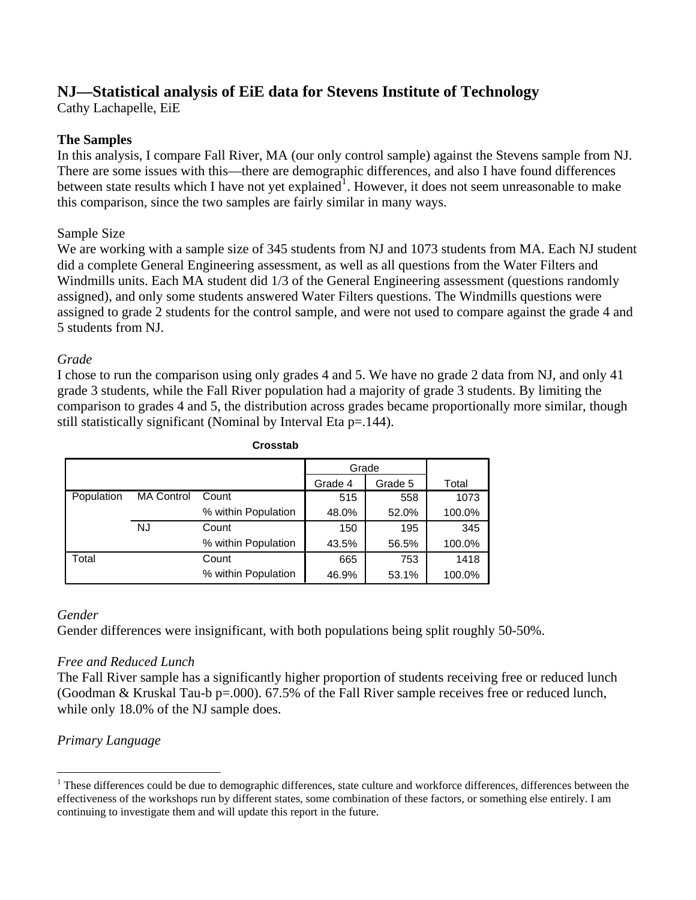# **NJ—Statistical analysis of EiE data for Stevens Institute of Technology**

Cathy Lachapelle, EiE

#### **The Samples**

In this analysis, I compare Fall River, MA (our only control sample) against the Stevens sample from NJ. There are some issues with this—there are demographic differences, and also I have found differences between state results which I have not yet explained<sup>[1](#page-0-0)</sup>. However, it does not seem unreasonable to make this comparison, since the two samples are fairly similar in many ways.

#### Sample Size

We are working with a sample size of 345 students from NJ and 1073 students from MA. Each NJ student did a complete General Engineering assessment, as well as all questions from the Water Filters and Windmills units. Each MA student did 1/3 of the General Engineering assessment (questions randomly assigned), and only some students answered Water Filters questions. The Windmills questions were assigned to grade 2 students for the control sample, and were not used to compare against the grade 4 and 5 students from NJ.

#### *Grade*

I chose to run the comparison using only grades 4 and 5. We have no grade 2 data from NJ, and only 41 grade 3 students, while the Fall River population had a majority of grade 3 students. By limiting the comparison to grades 4 and 5, the distribution across grades became proportionally more similar, though still statistically significant (Nominal by Interval Eta p=.144).

|            |                   |                     | Grade   |         |        |
|------------|-------------------|---------------------|---------|---------|--------|
|            |                   |                     | Grade 4 | Grade 5 | Total  |
| Population | <b>MA Control</b> | Count               | 515     | 558     | 1073   |
|            |                   | % within Population | 48.0%   | 52.0%   | 100.0% |
|            | NJ                | Count               | 150     | 195     | 345    |
|            |                   | % within Population | 43.5%   | 56.5%   | 100.0% |
| Total      |                   | Count               | 665     | 753     | 1418   |
|            |                   | % within Population | 46.9%   | 53.1%   | 100.0% |

#### **Crosstab**

#### *Gender*

 $\overline{a}$ 

Gender differences were insignificant, with both populations being split roughly 50-50%.

#### *Free and Reduced Lunch*

The Fall River sample has a significantly higher proportion of students receiving free or reduced lunch (Goodman & Kruskal Tau-b p=.000). 67.5% of the Fall River sample receives free or reduced lunch, while only 18.0% of the NJ sample does.

### *Primary Language*

<span id="page-0-0"></span><sup>&</sup>lt;sup>1</sup> These differences could be due to demographic differences, state culture and workforce differences, differences between the effectiveness of the workshops run by different states, some combination of these factors, or something else entirely. I am continuing to investigate them and will update this report in the future.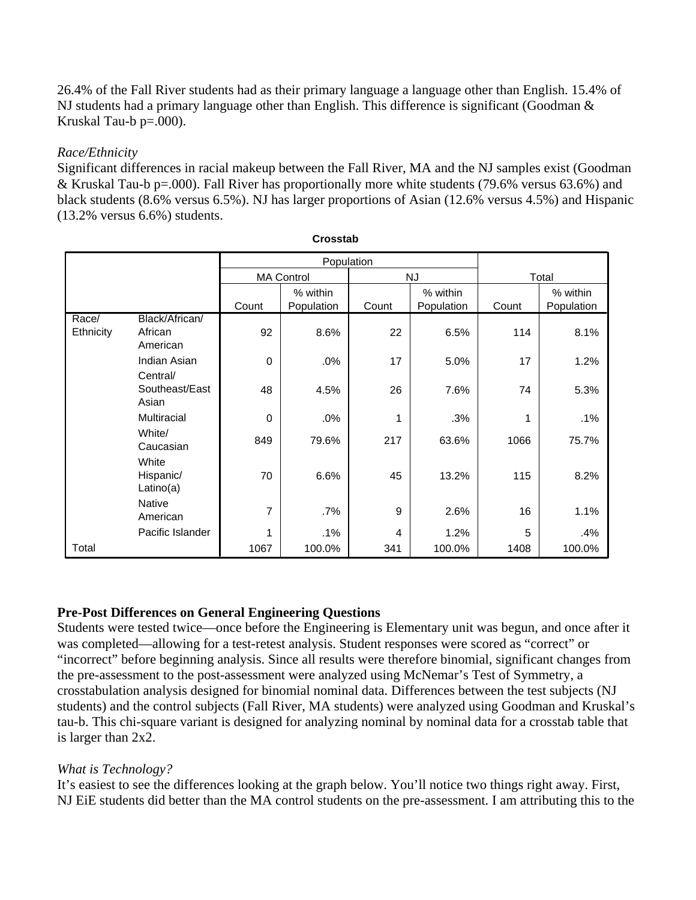26.4% of the Fall River students had as their primary language a language other than English. 15.4% of NJ students had a primary language other than English. This difference is significant (Goodman & Kruskal Tau-b p=.000).

#### *Race/Ethnicity*

Significant differences in racial makeup between the Fall River, MA and the NJ samples exist (Goodman & Kruskal Tau-b p=.000). Fall River has proportionally more white students (79.6% versus 63.6%) and black students (8.6% versus 6.5%). NJ has larger proportions of Asian (12.6% versus 4.5%) and Hispanic (13.2% versus 6.6%) students.

|           |                                 |                   | Population |       |            |       |            |
|-----------|---------------------------------|-------------------|------------|-------|------------|-------|------------|
|           |                                 | <b>MA Control</b> |            |       | <b>NJ</b>  | Total |            |
|           |                                 |                   | % within   |       | % within   |       | % within   |
|           |                                 | Count             | Population | Count | Population | Count | Population |
| Race/     | Black/African/                  |                   |            |       |            |       |            |
| Ethnicity | African<br>American             | 92                | 8.6%       | 22    | 6.5%       | 114   | 8.1%       |
|           | Indian Asian                    | $\mathbf 0$       | .0%        | 17    | 5.0%       | 17    | 1.2%       |
|           | Central/                        |                   |            |       |            |       |            |
|           | Southeast/East<br>Asian         | 48                | 4.5%       | 26    | 7.6%       | 74    | 5.3%       |
|           | <b>Multiracial</b>              | $\mathbf 0$       | .0%        | 1     | .3%        | 1     | .1%        |
|           | White/<br>Caucasian             | 849               | 79.6%      | 217   | 63.6%      | 1066  | 75.7%      |
|           | White<br>Hispanic/<br>Latino(a) | 70                | 6.6%       | 45    | 13.2%      | 115   | 8.2%       |
|           | Native<br>American              | 7                 | .7%        | 9     | 2.6%       | 16    | 1.1%       |
|           | Pacific Islander                |                   | .1%        | 4     | 1.2%       | 5     | .4%        |
| Total     |                                 | 1067              | 100.0%     | 341   | 100.0%     | 1408  | 100.0%     |

**Crosstab**

### **Pre-Post Differences on General Engineering Questions**

Students were tested twice—once before the Engineering is Elementary unit was begun, and once after it was completed—allowing for a test-retest analysis. Student responses were scored as "correct" or "incorrect" before beginning analysis. Since all results were therefore binomial, significant changes from the pre-assessment to the post-assessment were analyzed using McNemar's Test of Symmetry, a crosstabulation analysis designed for binomial nominal data. Differences between the test subjects (NJ students) and the control subjects (Fall River, MA students) were analyzed using Goodman and Kruskal's tau-b. This chi-square variant is designed for analyzing nominal by nominal data for a crosstab table that is larger than 2x2.

### *What is Technology?*

It's easiest to see the differences looking at the graph below. You'll notice two things right away. First, NJ EiE students did better than the MA control students on the pre-assessment. I am attributing this to the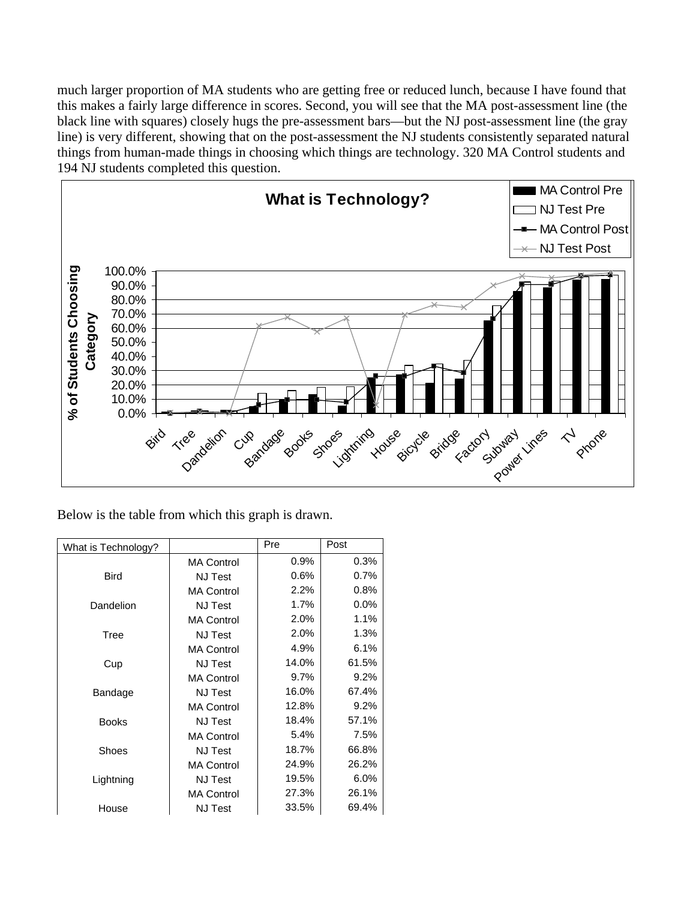much larger proportion of MA students who are getting free or reduced lunch, because I have found that this makes a fairly large difference in scores. Second, you will see that the MA post-assessment line (the black line with squares) closely hugs the pre-assessment bars—but the NJ post-assessment line (the gray line) is very different, showing that on the post-assessment the NJ students consistently separated natural things from human-made things in choosing which things are technology. 320 MA Control students and 194 NJ students completed this question.



Below is the table from which this graph is drawn.

| What is Technology? |                   | Pre   | Post    |
|---------------------|-------------------|-------|---------|
|                     | <b>MA Control</b> | 0.9%  | 0.3%    |
| <b>Bird</b>         | <b>NJ Test</b>    | 0.6%  | 0.7%    |
|                     | <b>MA Control</b> | 2.2%  | 0.8%    |
| Dandelion           | <b>NJ Test</b>    | 1.7%  | $0.0\%$ |
|                     | <b>MA Control</b> | 2.0%  | 1.1%    |
| Tree                | <b>NJ Test</b>    | 2.0%  | 1.3%    |
|                     | <b>MA Control</b> | 4.9%  | 6.1%    |
| Cup                 | <b>NJ Test</b>    | 14.0% | 61.5%   |
|                     | <b>MA Control</b> | 9.7%  | 9.2%    |
| Bandage             | <b>NJ</b> Test    | 16.0% | 67.4%   |
|                     | <b>MA Control</b> | 12.8% | 9.2%    |
| <b>Books</b>        | <b>NJ Test</b>    | 18.4% | 57.1%   |
|                     | <b>MA Control</b> | 5.4%  | 7.5%    |
| Shoes               | <b>NJ Test</b>    | 18.7% | 66.8%   |
|                     | <b>MA Control</b> | 24.9% | 26.2%   |
| Lightning           | <b>NJ</b> Test    | 19.5% | 6.0%    |
|                     | <b>MA Control</b> | 27.3% | 26.1%   |
| House               | <b>NJ</b> Test    | 33.5% | 69.4%   |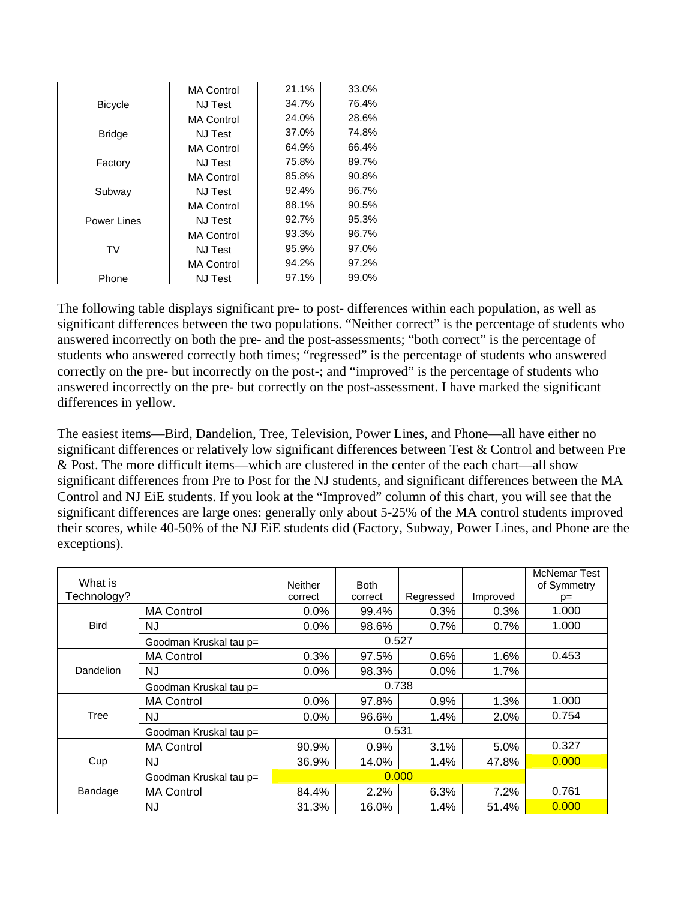|                | <b>MA Control</b> | 21.1% | 33.0% |
|----------------|-------------------|-------|-------|
| <b>Bicycle</b> | <b>NJ Test</b>    | 34.7% | 76.4% |
|                | <b>MA Control</b> | 24.0% | 28.6% |
| <b>Bridge</b>  | NJ Test           | 37.0% | 74.8% |
|                | <b>MA Control</b> | 64.9% | 66.4% |
| Factory        | NJ Test           | 75.8% | 89.7% |
|                | <b>MA Control</b> | 85.8% | 90.8% |
| Subway         | <b>NJ Test</b>    | 92.4% | 96.7% |
|                | <b>MA Control</b> | 88.1% | 90.5% |
| Power Lines    | <b>NJ Test</b>    | 92.7% | 95.3% |
|                | <b>MA Control</b> | 93.3% | 96.7% |
| TV             | <b>NJ Test</b>    | 95.9% | 97.0% |
|                | <b>MA Control</b> | 94.2% | 97.2% |
| Phone          | <b>NJ Test</b>    | 97.1% | 99.0% |

The following table displays significant pre- to post- differences within each population, as well as significant differences between the two populations. "Neither correct" is the percentage of students who answered incorrectly on both the pre- and the post-assessments; "both correct" is the percentage of students who answered correctly both times; "regressed" is the percentage of students who answered correctly on the pre- but incorrectly on the post-; and "improved" is the percentage of students who answered incorrectly on the pre- but correctly on the post-assessment. I have marked the significant differences in yellow.

The easiest items—Bird, Dandelion, Tree, Television, Power Lines, and Phone—all have either no significant differences or relatively low significant differences between Test & Control and between Pre & Post. The more difficult items—which are clustered in the center of the each chart—all show significant differences from Pre to Post for the NJ students, and significant differences between the MA Control and NJ EiE students. If you look at the "Improved" column of this chart, you will see that the significant differences are large ones: generally only about 5-25% of the MA control students improved their scores, while 40-50% of the NJ EiE students did (Factory, Subway, Power Lines, and Phone are the exceptions).

| What is<br>Technology? |                        | <b>Neither</b><br>correct | <b>Both</b><br>correct | Regressed | Improved | <b>McNemar Test</b><br>of Symmetry<br>$p=$ |
|------------------------|------------------------|---------------------------|------------------------|-----------|----------|--------------------------------------------|
|                        | <b>MA Control</b>      | 0.0%                      | 99.4%                  | 0.3%      | 0.3%     | 1.000                                      |
| <b>Bird</b>            | NJ                     | 0.0%                      | 98.6%                  | 0.7%      | 0.7%     | 1.000                                      |
|                        | Goodman Kruskal tau p= |                           | 0.527                  |           |          |                                            |
|                        | <b>MA Control</b>      | 0.3%                      | 97.5%                  | 0.6%      | 1.6%     | 0.453                                      |
| Dandelion              | NJ                     | 0.0%                      | 98.3%                  | $0.0\%$   | 1.7%     |                                            |
|                        | Goodman Kruskal tau p= |                           |                        |           |          |                                            |
|                        | <b>MA Control</b>      | 0.0%                      | 97.8%                  | 0.9%      | 1.3%     | 1.000                                      |
| Tree                   | NJ                     | 0.0%                      | 96.6%                  | 1.4%      | 2.0%     | 0.754                                      |
|                        | Goodman Kruskal tau p= |                           | 0.531                  |           |          |                                            |
|                        | <b>MA Control</b>      | 90.9%                     | 0.9%                   | 3.1%      | 5.0%     | 0.327                                      |
| Cup                    | NJ                     | 36.9%                     | 14.0%                  | 1.4%      | 47.8%    | 0.000                                      |
|                        | Goodman Kruskal tau p= |                           |                        | 0.000     |          |                                            |
| Bandage                | <b>MA Control</b>      | 84.4%                     | 2.2%                   | 6.3%      | 7.2%     | 0.761                                      |
|                        | NJ                     | 31.3%                     | 16.0%                  | 1.4%      | 51.4%    | 0.000                                      |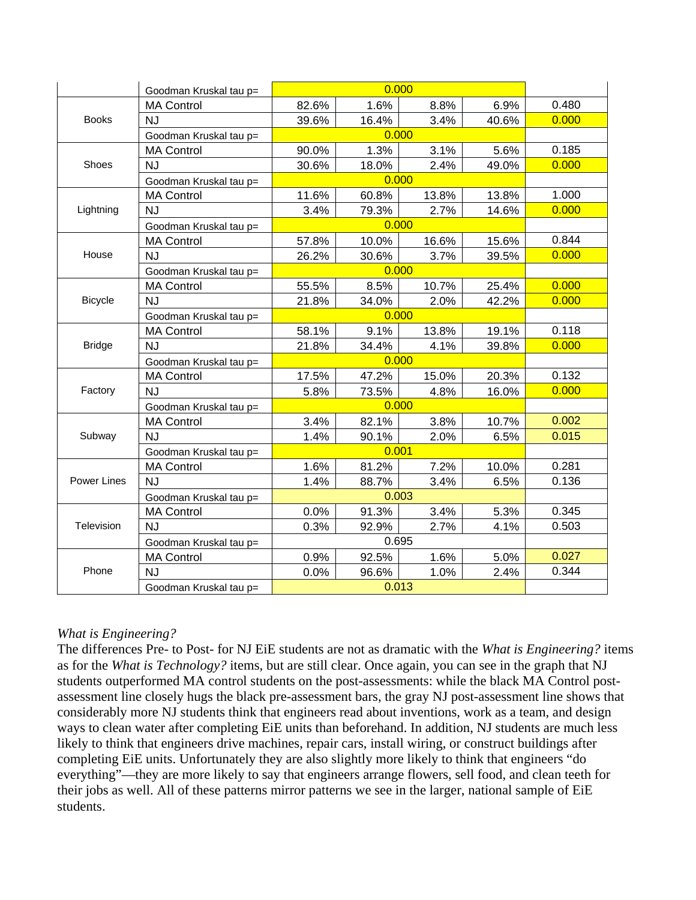|                | Goodman Kruskal tau p= |       | 0.000 |       |       |       |  |  |
|----------------|------------------------|-------|-------|-------|-------|-------|--|--|
|                | <b>MA Control</b>      | 82.6% | 1.6%  | 8.8%  | 6.9%  | 0.480 |  |  |
| <b>Books</b>   | <b>NJ</b>              | 39.6% | 16.4% | 3.4%  | 40.6% | 0.000 |  |  |
|                | Goodman Kruskal tau p= |       | 0.000 |       |       |       |  |  |
|                | <b>MA Control</b>      | 90.0% | 1.3%  | 3.1%  | 5.6%  | 0.185 |  |  |
| Shoes          | <b>NJ</b>              | 30.6% | 18.0% | 2.4%  | 49.0% | 0.000 |  |  |
|                | Goodman Kruskal tau p= |       | 0.000 |       |       |       |  |  |
|                | <b>MA Control</b>      | 11.6% | 60.8% | 13.8% | 13.8% | 1.000 |  |  |
| Lightning      | NJ                     | 3.4%  | 79.3% | 2.7%  | 14.6% | 0.000 |  |  |
|                | Goodman Kruskal tau p= |       | 0.000 |       |       |       |  |  |
|                | <b>MA Control</b>      | 57.8% | 10.0% | 16.6% | 15.6% | 0.844 |  |  |
| House          | <b>NJ</b>              | 26.2% | 30.6% | 3.7%  | 39.5% | 0.000 |  |  |
|                | Goodman Kruskal tau p= |       | 0.000 |       |       |       |  |  |
|                | <b>MA Control</b>      | 55.5% | 8.5%  | 10.7% | 25.4% | 0.000 |  |  |
| <b>Bicycle</b> | <b>NJ</b>              | 21.8% | 34.0% | 2.0%  | 42.2% | 0.000 |  |  |
|                | Goodman Kruskal tau p= |       |       |       |       |       |  |  |
|                | <b>MA Control</b>      | 58.1% | 9.1%  | 13.8% | 19.1% | 0.118 |  |  |
| <b>Bridge</b>  | <b>NJ</b>              | 21.8% | 34.4% | 4.1%  | 39.8% | 0.000 |  |  |
|                | Goodman Kruskal tau p= | 0.000 |       |       |       |       |  |  |
|                | <b>MA Control</b>      | 17.5% | 47.2% | 15.0% | 20.3% | 0.132 |  |  |
| Factory        | <b>NJ</b>              | 5.8%  | 73.5% | 4.8%  | 16.0% | 0.000 |  |  |
|                | Goodman Kruskal tau p= |       | 0.000 |       |       |       |  |  |
|                | <b>MA Control</b>      | 3.4%  | 82.1% | 3.8%  | 10.7% | 0.002 |  |  |
| Subway         | <b>NJ</b>              | 1.4%  | 90.1% | 2.0%  | 6.5%  | 0.015 |  |  |
|                | Goodman Kruskal tau p= |       |       |       |       |       |  |  |
|                | <b>MA Control</b>      | 1.6%  | 81.2% | 7.2%  | 10.0% | 0.281 |  |  |
| Power Lines    | <b>NJ</b>              | 1.4%  | 88.7% | 3.4%  | 6.5%  | 0.136 |  |  |
|                | Goodman Kruskal tau p= |       | 0.003 |       |       |       |  |  |
|                | <b>MA Control</b>      | 0.0%  | 91.3% | 3.4%  | 5.3%  | 0.345 |  |  |
| Television     | <b>NJ</b>              | 0.3%  | 92.9% | 2.7%  | 4.1%  | 0.503 |  |  |
|                | Goodman Kruskal tau p= |       | 0.695 |       |       |       |  |  |
|                | <b>MA Control</b>      | 0.9%  | 92.5% | 1.6%  | 5.0%  | 0.027 |  |  |
| Phone          | <b>NJ</b>              | 0.0%  | 96.6% | 1.0%  | 2.4%  | 0.344 |  |  |
|                | Goodman Kruskal tau p= |       | 0.013 |       |       |       |  |  |

#### *What is Engineering?*

The differences Pre- to Post- for NJ EiE students are not as dramatic with the *What is Engineering?* items as for the *What is Technology?* items, but are still clear. Once again, you can see in the graph that NJ students outperformed MA control students on the post-assessments: while the black MA Control postassessment line closely hugs the black pre-assessment bars, the gray NJ post-assessment line shows that considerably more NJ students think that engineers read about inventions, work as a team, and design ways to clean water after completing EiE units than beforehand. In addition, NJ students are much less likely to think that engineers drive machines, repair cars, install wiring, or construct buildings after completing EiE units. Unfortunately they are also slightly more likely to think that engineers "do everything"—they are more likely to say that engineers arrange flowers, sell food, and clean teeth for their jobs as well. All of these patterns mirror patterns we see in the larger, national sample of EiE students.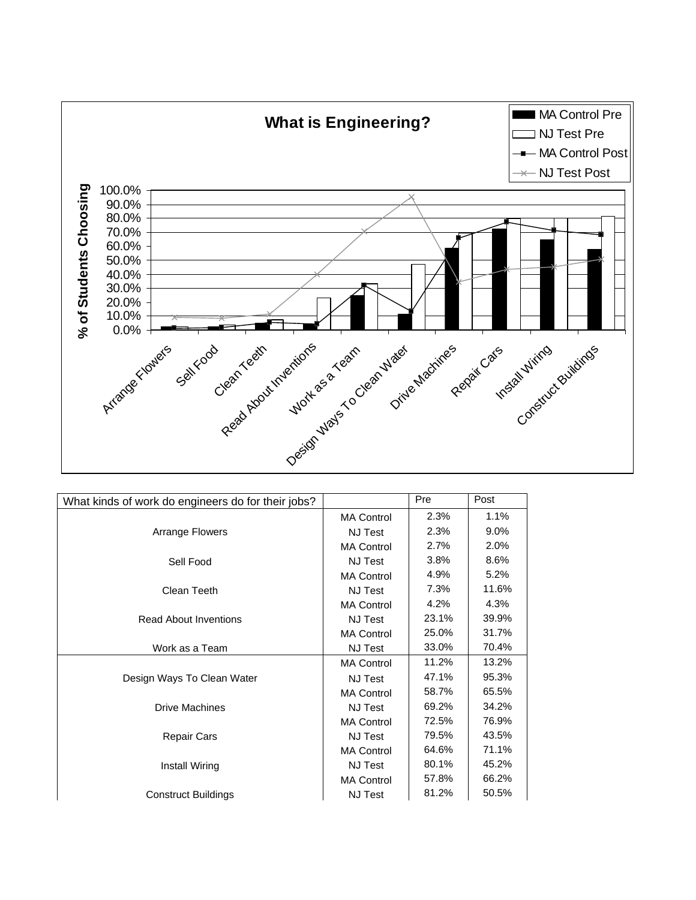

| What kinds of work do engineers do for their jobs? |                   | Pre   | Post    |
|----------------------------------------------------|-------------------|-------|---------|
|                                                    | <b>MA Control</b> | 2.3%  | 1.1%    |
| Arrange Flowers                                    | <b>NJ Test</b>    | 2.3%  | $9.0\%$ |
|                                                    | <b>MA Control</b> | 2.7%  | 2.0%    |
| Sell Food                                          | <b>NJ Test</b>    | 3.8%  | 8.6%    |
|                                                    | <b>MA Control</b> | 4.9%  | 5.2%    |
| Clean Teeth                                        | <b>NJ Test</b>    | 7.3%  | 11.6%   |
|                                                    | <b>MA Control</b> | 4.2%  | 4.3%    |
| <b>Read About Inventions</b>                       | NJ Test           | 23.1% | 39.9%   |
|                                                    | <b>MA Control</b> | 25.0% | 31.7%   |
| Work as a Team                                     | <b>NJ Test</b>    | 33.0% | 70.4%   |
|                                                    | <b>MA Control</b> | 11.2% | 13.2%   |
| Design Ways To Clean Water                         | <b>NJ Test</b>    | 47.1% | 95.3%   |
|                                                    | <b>MA Control</b> | 58.7% | 65.5%   |
| <b>Drive Machines</b>                              | <b>NJ Test</b>    | 69.2% | 34.2%   |
|                                                    | <b>MA Control</b> | 72.5% | 76.9%   |
| <b>Repair Cars</b>                                 | <b>NJ Test</b>    | 79.5% | 43.5%   |
|                                                    | <b>MA Control</b> | 64.6% | 71.1%   |
| Install Wiring                                     | NJ Test           | 80.1% | 45.2%   |
|                                                    | <b>MA Control</b> | 57.8% | 66.2%   |
| <b>Construct Buildings</b>                         | <b>NJ Test</b>    | 81.2% | 50.5%   |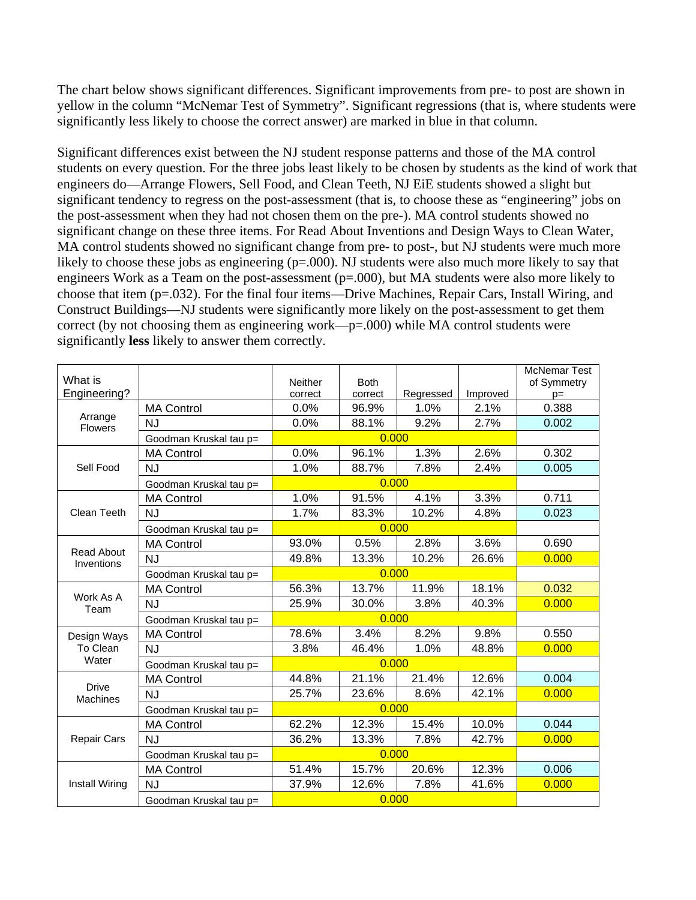The chart below shows significant differences. Significant improvements from pre- to post are shown in yellow in the column "McNemar Test of Symmetry". Significant regressions (that is, where students were significantly less likely to choose the correct answer) are marked in blue in that column.

Significant differences exist between the NJ student response patterns and those of the MA control students on every question. For the three jobs least likely to be chosen by students as the kind of work that engineers do—Arrange Flowers, Sell Food, and Clean Teeth, NJ EiE students showed a slight but significant tendency to regress on the post-assessment (that is, to choose these as "engineering" jobs on the post-assessment when they had not chosen them on the pre-). MA control students showed no significant change on these three items. For Read About Inventions and Design Ways to Clean Water, MA control students showed no significant change from pre- to post-, but NJ students were much more likely to choose these jobs as engineering (p=.000). NJ students were also much more likely to say that engineers Work as a Team on the post-assessment (p=.000), but MA students were also more likely to choose that item (p=.032). For the final four items—Drive Machines, Repair Cars, Install Wiring, and Construct Buildings—NJ students were significantly more likely on the post-assessment to get them correct (by not choosing them as engineering work—p=.000) while MA control students were significantly **less** likely to answer them correctly.

|                                 |                        |                |                               |           |          | <b>McNemar Test</b> |  |  |
|---------------------------------|------------------------|----------------|-------------------------------|-----------|----------|---------------------|--|--|
| What is                         |                        | <b>Neither</b> | <b>Both</b>                   |           |          | of Symmetry         |  |  |
| Engineering?                    |                        | correct        | correct                       | Regressed | Improved | $p=$                |  |  |
| Arrange                         | <b>MA Control</b>      | 0.0%           | 96.9%                         | 1.0%      | 2.1%     | 0.388<br>0.002      |  |  |
| <b>Flowers</b>                  | <b>NJ</b>              |                | 0.0%<br>9.2%<br>2.7%<br>88.1% |           |          |                     |  |  |
|                                 | Goodman Kruskal tau p= |                | 0.000                         |           |          |                     |  |  |
|                                 | <b>MA Control</b>      | 0.0%           | 96.1%                         | 1.3%      | 2.6%     | 0.302               |  |  |
| Sell Food                       | <b>NJ</b>              | 1.0%           | 88.7%                         | 7.8%      | 2.4%     | 0.005               |  |  |
|                                 | Goodman Kruskal tau p= |                | 0.000                         |           |          |                     |  |  |
|                                 | <b>MA Control</b>      | 1.0%           | 91.5%                         | 4.1%      | 3.3%     | 0.711               |  |  |
| Clean Teeth                     | <b>NJ</b>              | 1.7%           | 83.3%                         | 10.2%     | 4.8%     | 0.023               |  |  |
|                                 | Goodman Kruskal tau p= |                | 0.000                         |           |          |                     |  |  |
|                                 | <b>MA Control</b>      | 93.0%          | 0.5%                          | 2.8%      | 3.6%     | 0.690               |  |  |
| <b>Read About</b><br>Inventions | <b>NJ</b>              | 49.8%          | 13.3%                         | 10.2%     | 26.6%    | 0.000               |  |  |
|                                 | Goodman Kruskal tau p= |                |                               |           |          |                     |  |  |
|                                 | <b>MA Control</b>      | 56.3%          | 13.7%                         | 11.9%     | 18.1%    | 0.032               |  |  |
| Work As A<br>Team               | <b>NJ</b>              | 25.9%          | 30.0%                         | 3.8%      | 40.3%    | 0.000               |  |  |
|                                 | Goodman Kruskal tau p= |                | 0.000                         |           |          |                     |  |  |
| Design Ways                     | <b>MA Control</b>      | 78.6%          | 3.4%                          | 8.2%      | 9.8%     | 0.550               |  |  |
| To Clean                        | <b>NJ</b>              | 3.8%           | 46.4%                         | 1.0%      | 48.8%    | 0.000               |  |  |
| Water                           | Goodman Kruskal tau p= |                | 0.000                         |           |          |                     |  |  |
|                                 | <b>MA Control</b>      | 44.8%          | 21.1%                         | 21.4%     | 12.6%    | 0.004               |  |  |
| <b>Drive</b><br><b>Machines</b> | <b>NJ</b>              | 25.7%          | 23.6%                         | 8.6%      | 42.1%    | 0.000               |  |  |
|                                 | Goodman Kruskal tau p= |                | 0.000                         |           |          |                     |  |  |
|                                 | <b>MA Control</b>      | 62.2%          | 12.3%                         | 15.4%     | 10.0%    | 0.044               |  |  |
| <b>Repair Cars</b>              | <b>NJ</b>              | 36.2%          | 13.3%                         | 7.8%      | 42.7%    | 0.000               |  |  |
|                                 | Goodman Kruskal tau p= |                | 0.000                         |           |          |                     |  |  |
|                                 | <b>MA Control</b>      | 51.4%          | 15.7%                         | 20.6%     | 12.3%    | 0.006               |  |  |
| <b>Install Wiring</b>           | <b>NJ</b>              | 37.9%          | 12.6%                         | 7.8%      | 41.6%    | 0.000               |  |  |
|                                 | Goodman Kruskal tau p= |                | 0.000                         |           |          |                     |  |  |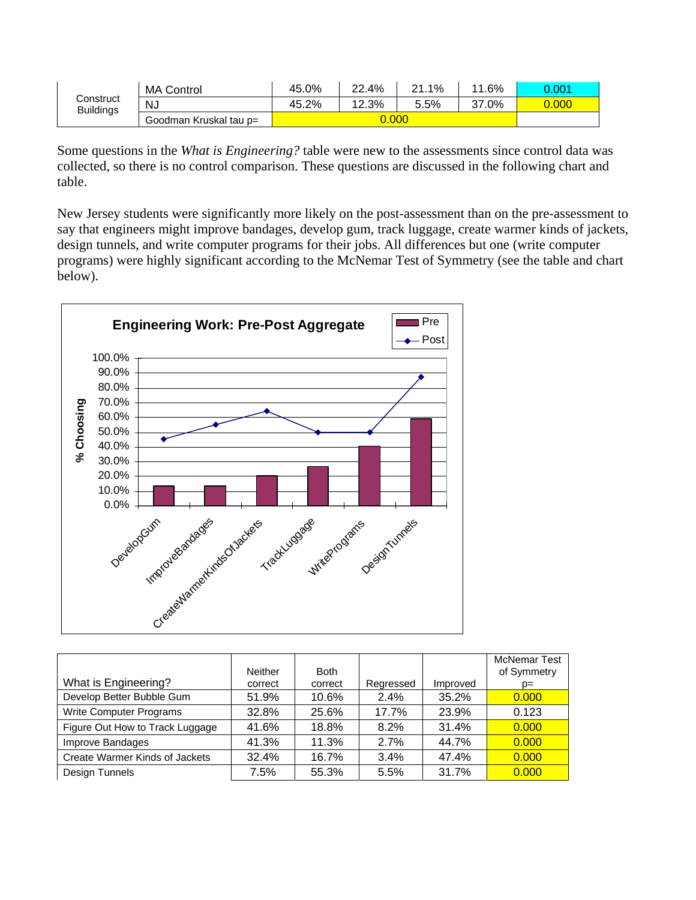|                  | <b>MA Control</b>      | 45.0% | 22.4% | 1%<br>21 | 11.6%      | 0.001 |
|------------------|------------------------|-------|-------|----------|------------|-------|
| Construct        | NJ                     | 45.2% | 12.3% | 5.5%     | .0%<br>37. | 0.000 |
| <b>Buildings</b> | Goodman Kruskal tau p= |       | 0.000 |          |            |       |

Some questions in the *What is Engineering?* table were new to the assessments since control data was collected, so there is no control comparison. These questions are discussed in the following chart and table.

New Jersey students were significantly more likely on the post-assessment than on the pre-assessment to say that engineers might improve bandages, develop gum, track luggage, create warmer kinds of jackets, design tunnels, and write computer programs for their jobs. All differences but one (write computer programs) were highly significant according to the McNemar Test of Symmetry (see the table and chart below).



|                                 | Neither | <b>Both</b> |           |          | <b>McNemar Test</b><br>of Symmetry |
|---------------------------------|---------|-------------|-----------|----------|------------------------------------|
| What is Engineering?            | correct | correct     | Regressed | Improved | $p=$                               |
| Develop Better Bubble Gum       | 51.9%   | 10.6%       | $2.4\%$   | 35.2%    | 0.000                              |
| Write Computer Programs         | 32.8%   | 25.6%       | 17.7%     | 23.9%    | 0.123                              |
| Figure Out How to Track Luggage | 41.6%   | 18.8%       | 8.2%      | 31.4%    | 0.000                              |
| Improve Bandages                | 41.3%   | 11.3%       | 2.7%      | 44.7%    | 0.000                              |
| Create Warmer Kinds of Jackets  | 32.4%   | 16.7%       | 3.4%      | 47.4%    | 0.000                              |
| Design Tunnels                  | 7.5%    | 55.3%       | 5.5%      | 31.7%    | 0.000                              |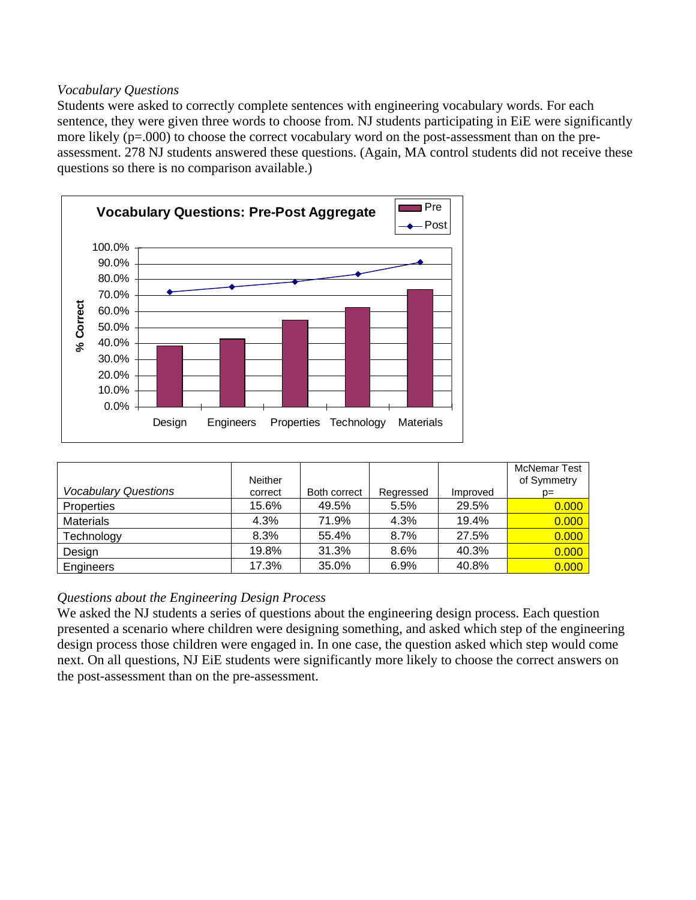#### *Vocabulary Questions*

Students were asked to correctly complete sentences with engineering vocabulary words. For each sentence, they were given three words to choose from. NJ students participating in EiE were significantly more likely (p=.000) to choose the correct vocabulary word on the post-assessment than on the preassessment. 278 NJ students answered these questions. (Again, MA control students did not receive these questions so there is no comparison available.)



| <b>Vocabulary Questions</b> | <b>Neither</b><br>correct | Both correct | Regressed | Improved | <b>McNemar Test</b><br>of Symmetry<br>$D =$ |
|-----------------------------|---------------------------|--------------|-----------|----------|---------------------------------------------|
| <b>Properties</b>           | 15.6%                     | 49.5%        | 5.5%      | 29.5%    | 0.000                                       |
| <b>Materials</b>            | 4.3%                      | 71.9%        | 4.3%      | 19.4%    | 0.000                                       |
| Technology                  | 8.3%                      | 55.4%        | 8.7%      | 27.5%    | 0.000                                       |
| Design                      | 19.8%                     | 31.3%        | 8.6%      | 40.3%    | 0.000                                       |
| Engineers                   | 17.3%                     | 35.0%        | 6.9%      | 40.8%    | 0.000                                       |

### *Questions about the Engineering Design Process*

We asked the NJ students a series of questions about the engineering design process. Each question presented a scenario where children were designing something, and asked which step of the engineering design process those children were engaged in. In one case, the question asked which step would come next. On all questions, NJ EiE students were significantly more likely to choose the correct answers on the post-assessment than on the pre-assessment.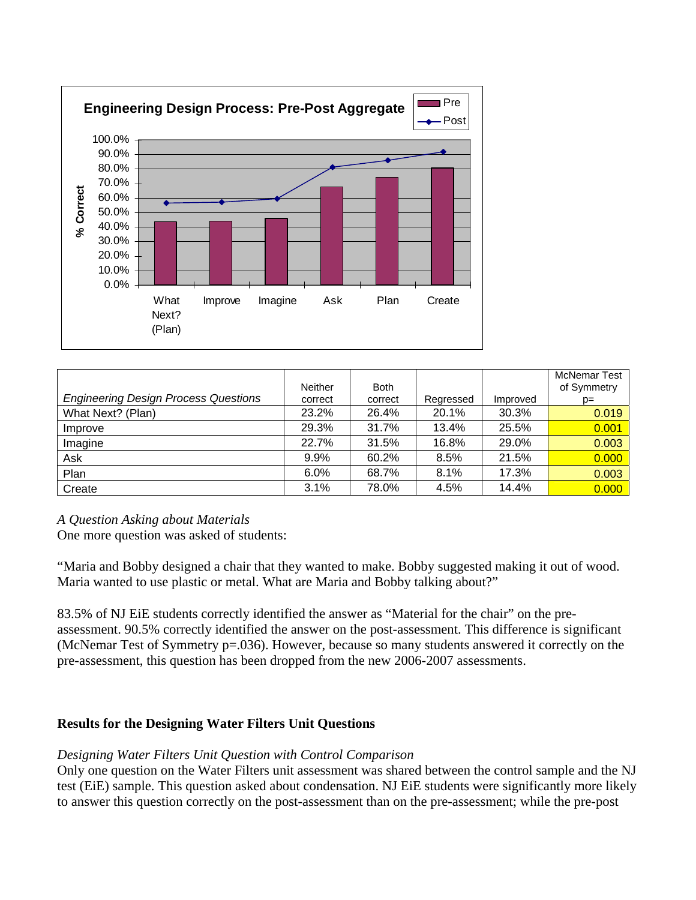

|                                             | Neither | <b>Both</b> |           |          | <b>McNemar Test</b><br>of Symmetry |
|---------------------------------------------|---------|-------------|-----------|----------|------------------------------------|
| <b>Engineering Design Process Questions</b> | correct | correct     | Regressed | Improved | $p=$                               |
| What Next? (Plan)                           | 23.2%   | 26.4%       | 20.1%     | 30.3%    | 0.019                              |
| Improve                                     | 29.3%   | 31.7%       | 13.4%     | 25.5%    | 0.001                              |
| Imagine                                     | 22.7%   | 31.5%       | 16.8%     | 29.0%    | 0.003                              |
| Ask                                         | 9.9%    | 60.2%       | 8.5%      | 21.5%    | 0.000                              |
| Plan                                        | 6.0%    | 68.7%       | 8.1%      | 17.3%    | 0.003                              |
| Create                                      | 3.1%    | 78.0%       | 4.5%      | 14.4%    | 0.000                              |

*A Question Asking about Materials* 

One more question was asked of students:

"Maria and Bobby designed a chair that they wanted to make. Bobby suggested making it out of wood. Maria wanted to use plastic or metal. What are Maria and Bobby talking about?"

83.5% of NJ EiE students correctly identified the answer as "Material for the chair" on the preassessment. 90.5% correctly identified the answer on the post-assessment. This difference is significant (McNemar Test of Symmetry p=.036). However, because so many students answered it correctly on the pre-assessment, this question has been dropped from the new 2006-2007 assessments.

### **Results for the Designing Water Filters Unit Questions**

#### *Designing Water Filters Unit Question with Control Comparison*

Only one question on the Water Filters unit assessment was shared between the control sample and the NJ test (EiE) sample. This question asked about condensation. NJ EiE students were significantly more likely to answer this question correctly on the post-assessment than on the pre-assessment; while the pre-post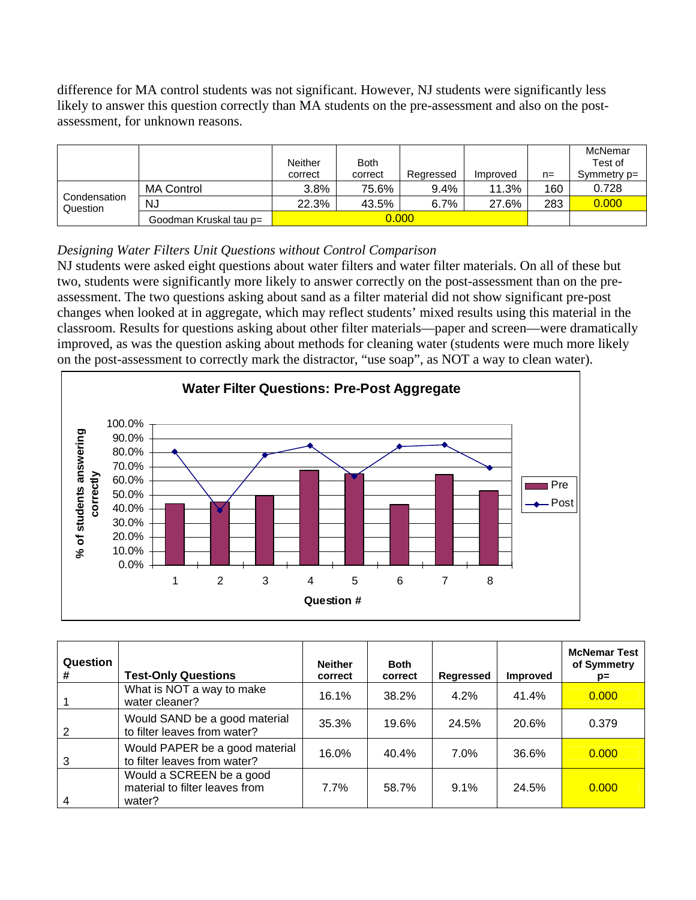difference for MA control students was not significant. However, NJ students were significantly less likely to answer this question correctly than MA students on the pre-assessment and also on the postassessment, for unknown reasons.

|                          |                        | <b>Neither</b><br>correct       | <b>Both</b><br>correct | Regressed | Improved | n=  | McNemar<br>Test of<br>Symmetry $p=$ |
|--------------------------|------------------------|---------------------------------|------------------------|-----------|----------|-----|-------------------------------------|
| Condensation<br>Question | <b>MA Control</b>      | 3.8%                            | 75.6%                  | $9.4\%$   | 11.3%    | 160 | 0.728                               |
|                          | <b>NJ</b>              | 22.3%<br>6.7%<br>43.5%<br>27.6% |                        |           |          | 283 | 0.000                               |
|                          | Goodman Kruskal tau p= |                                 | 0.000                  |           |          |     |                                     |

## *Designing Water Filters Unit Questions without Control Comparison*

NJ students were asked eight questions about water filters and water filter materials. On all of these but two, students were significantly more likely to answer correctly on the post-assessment than on the preassessment. The two questions asking about sand as a filter material did not show significant pre-post changes when looked at in aggregate, which may reflect students' mixed results using this material in the classroom. Results for questions asking about other filter materials—paper and screen—were dramatically improved, as was the question asking about methods for cleaning water (students were much more likely on the post-assessment to correctly mark the distractor, "use soap", as NOT a way to clean water).



| Question<br># | <b>Test-Only Questions</b>                                           | <b>Neither</b><br>correct | <b>Both</b><br>correct | <b>Regressed</b> | <b>Improved</b> | <b>McNemar Test</b><br>of Symmetry<br>p= |
|---------------|----------------------------------------------------------------------|---------------------------|------------------------|------------------|-----------------|------------------------------------------|
|               | What is NOT a way to make<br>water cleaner?                          | 16.1%                     | 38.2%                  | 4.2%             | 41.4%           | 0.000                                    |
|               | Would SAND be a good material<br>to filter leaves from water?        | 35.3%                     | 19.6%                  | 24.5%            | 20.6%           | 0.379                                    |
| 3             | Would PAPER be a good material<br>to filter leaves from water?       | 16.0%                     | 40.4%                  | $7.0\%$          | 36.6%           | 0.000                                    |
| 4             | Would a SCREEN be a good<br>material to filter leaves from<br>water? | 7.7%                      | 58.7%                  | $9.1\%$          | 24.5%           | 0.000                                    |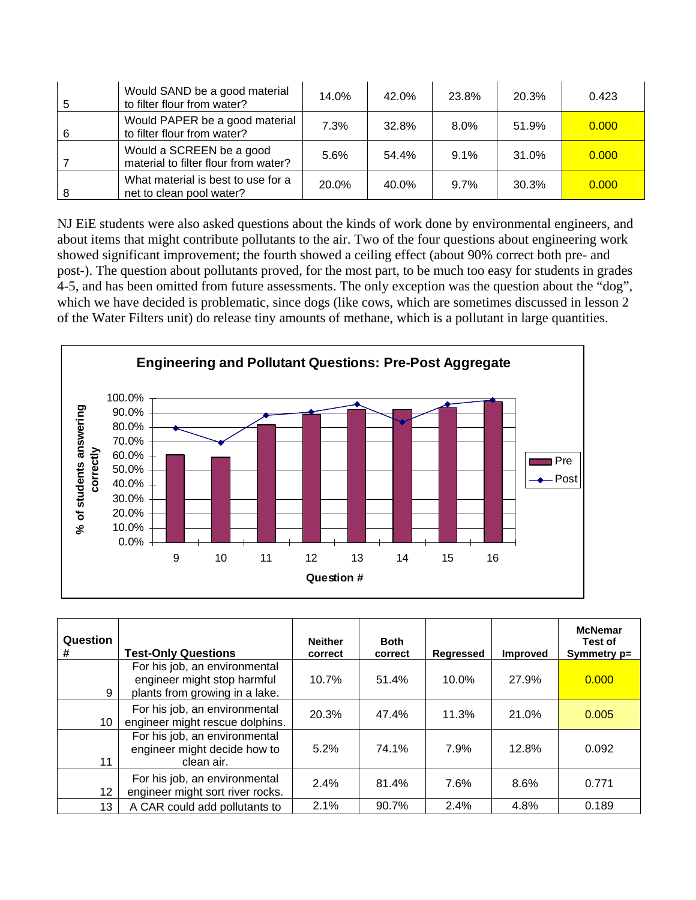|   | Would SAND be a good material<br>to filter flour from water?     | 14.0% | 42.0% | 23.8%   | 20.3% | 0.423 |
|---|------------------------------------------------------------------|-------|-------|---------|-------|-------|
| 6 | Would PAPER be a good material<br>to filter flour from water?    | 7.3%  | 32.8% | $8.0\%$ | 51.9% | 0.000 |
|   | Would a SCREEN be a good<br>material to filter flour from water? | 5.6%  | 54.4% | 9.1%    | 31.0% | 0.000 |
|   | What material is best to use for a<br>net to clean pool water?   | 20.0% | 40.0% | $9.7\%$ | 30.3% | 0.000 |

NJ EiE students were also asked questions about the kinds of work done by environmental engineers, and about items that might contribute pollutants to the air. Two of the four questions about engineering work showed significant improvement; the fourth showed a ceiling effect (about 90% correct both pre- and post-). The question about pollutants proved, for the most part, to be much too easy for students in grades 4-5, and has been omitted from future assessments. The only exception was the question about the "dog", which we have decided is problematic, since dogs (like cows, which are sometimes discussed in lesson 2 of the Water Filters unit) do release tiny amounts of methane, which is a pollutant in large quantities.



| Question<br>#   | <b>Test-Only Questions</b>                                                                     | <b>Neither</b><br>correct | <b>Both</b><br>correct | <b>Regressed</b> | <b>Improved</b> | <b>McNemar</b><br>Test of<br>Symmetry p= |
|-----------------|------------------------------------------------------------------------------------------------|---------------------------|------------------------|------------------|-----------------|------------------------------------------|
| 9               | For his job, an environmental<br>engineer might stop harmful<br>plants from growing in a lake. | 10.7%                     | 51.4%                  | 10.0%            | 27.9%           | 0.000                                    |
| 10              | For his job, an environmental<br>engineer might rescue dolphins.                               | 20.3%                     | 47.4%                  | 11.3%            | 21.0%           | 0.005                                    |
| 11              | For his job, an environmental<br>engineer might decide how to<br>clean air.                    | 5.2%                      | 74.1%                  | 7.9%             | 12.8%           | 0.092                                    |
| 12              | For his job, an environmental<br>engineer might sort river rocks.                              | 2.4%                      | 81.4%                  | 7.6%             | 8.6%            | 0.771                                    |
| 13 <sup>°</sup> | A CAR could add pollutants to                                                                  | 2.1%                      | 90.7%                  | 2.4%             | 4.8%            | 0.189                                    |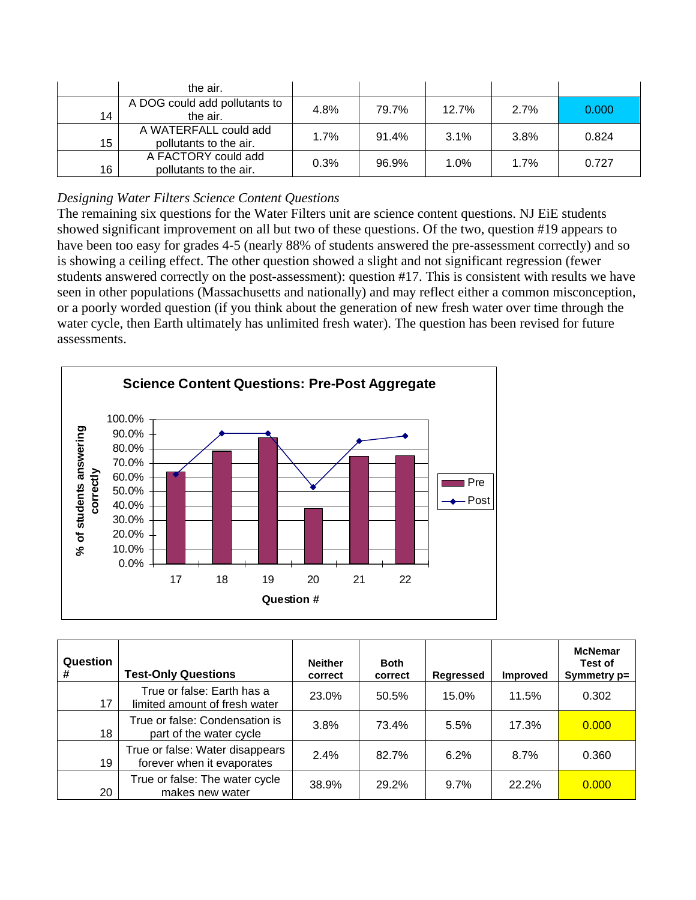|    | the air.                                        |      |       |       |      |       |
|----|-------------------------------------------------|------|-------|-------|------|-------|
| 14 | A DOG could add pollutants to<br>the air.       | 4.8% | 79.7% | 12.7% | 2.7% | 0.000 |
| 15 | A WATERFALL could add<br>pollutants to the air. | 1.7% | 91.4% | 3.1%  | 3.8% | 0.824 |
| 16 | A FACTORY could add<br>pollutants to the air.   | 0.3% | 96.9% | 1.0%  | 1.7% | 0.727 |

## *Designing Water Filters Science Content Questions*

The remaining six questions for the Water Filters unit are science content questions. NJ EiE students showed significant improvement on all but two of these questions. Of the two, question #19 appears to have been too easy for grades 4-5 (nearly 88% of students answered the pre-assessment correctly) and so is showing a ceiling effect. The other question showed a slight and not significant regression (fewer students answered correctly on the post-assessment): question #17. This is consistent with results we have seen in other populations (Massachusetts and nationally) and may reflect either a common misconception, or a poorly worded question (if you think about the generation of new fresh water over time through the water cycle, then Earth ultimately has unlimited fresh water). The question has been revised for future assessments.



| Question<br># | <b>Test-Only Questions</b>                                    | <b>Neither</b><br>correct | <b>Both</b><br>correct | <b>Regressed</b> | <b>Improved</b> | <b>McNemar</b><br>Test of<br>Symmetry p= |
|---------------|---------------------------------------------------------------|---------------------------|------------------------|------------------|-----------------|------------------------------------------|
| 17            | True or false: Earth has a<br>limited amount of fresh water   | 23.0%                     | 50.5%                  | 15.0%            | 11.5%           | 0.302                                    |
| 18            | True or false: Condensation is<br>part of the water cycle     | 3.8%                      | 73.4%                  | 5.5%             | 17.3%           | 0.000                                    |
| 19            | True or false: Water disappears<br>forever when it evaporates | 2.4%                      | 82.7%                  | 6.2%             | 8.7%            | 0.360                                    |
| 20            | True or false: The water cycle<br>makes new water             | 38.9%                     | 29.2%                  | 9.7%             | 22.2%           | 0.000                                    |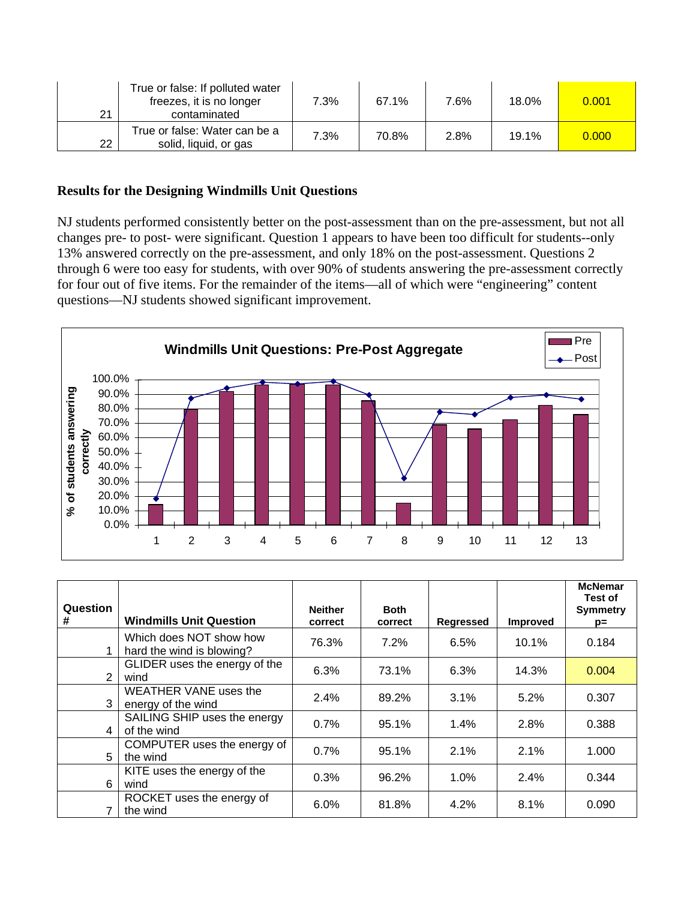| 21 | True or false: If polluted water<br>freezes, it is no longer<br>contaminated | 7.3% | 67.1% | 7.6% | 18.0% | 0.001 |
|----|------------------------------------------------------------------------------|------|-------|------|-------|-------|
| 22 | True or false: Water can be a<br>solid, liquid, or gas                       | 7.3% | 70.8% | 2.8% | 19.1% | 0.000 |

### **Results for the Designing Windmills Unit Questions**

NJ students performed consistently better on the post-assessment than on the pre-assessment, but not all changes pre- to post- were significant. Question 1 appears to have been too difficult for students--only 13% answered correctly on the pre-assessment, and only 18% on the post-assessment. Questions 2 through 6 were too easy for students, with over 90% of students answering the pre-assessment correctly for four out of five items. For the remainder of the items—all of which were "engineering" content questions—NJ students showed significant improvement.



| Question<br># | <b>Windmills Unit Question</b>                       | <b>Neither</b><br>correct | <b>Both</b><br>correct | <b>Regressed</b> | <b>Improved</b> | <b>McNemar</b><br>Test of<br><b>Symmetry</b><br>$p=$ |
|---------------|------------------------------------------------------|---------------------------|------------------------|------------------|-----------------|------------------------------------------------------|
|               | Which does NOT show how<br>hard the wind is blowing? | 76.3%                     | 7.2%                   | 6.5%             | $10.1\%$        | 0.184                                                |
| 2             | GLIDER uses the energy of the<br>wind                | 6.3%                      | 73.1%                  | 6.3%             | 14.3%           | 0.004                                                |
| 3             | <b>WEATHER VANE uses the</b><br>energy of the wind   | 2.4%                      | 89.2%                  | 3.1%             | 5.2%            | 0.307                                                |
| 4             | SAILING SHIP uses the energy<br>of the wind          | $0.7\%$                   | 95.1%                  | $1.4\%$          | 2.8%            | 0.388                                                |
| 5             | COMPUTER uses the energy of<br>the wind              | 0.7%                      | 95.1%                  | 2.1%             | 2.1%            | 1.000                                                |
| 6             | KITE uses the energy of the<br>wind                  | 0.3%                      | 96.2%                  | 1.0%             | 2.4%            | 0.344                                                |
|               | ROCKET uses the energy of<br>the wind                | $6.0\%$                   | 81.8%                  | 4.2%             | 8.1%            | 0.090                                                |